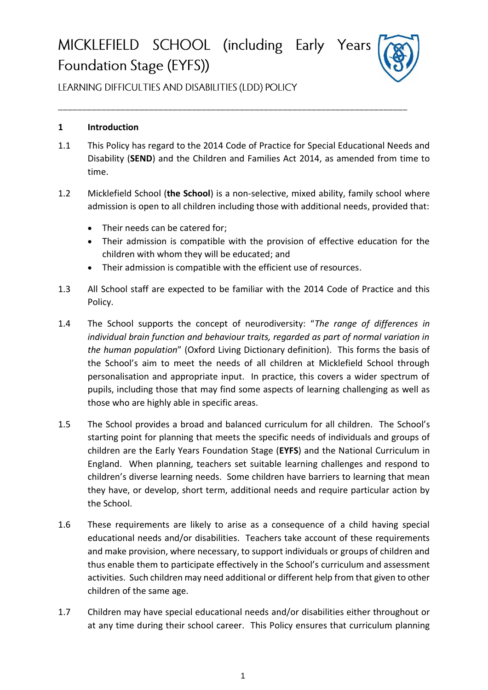# MICKLEFIELD SCHOOL (including Early Years Foundation Stage (EYFS))



LEARNING DIFFICULTIES AND DISABILITIES (LDD) POLICY

### **1 Introduction**

- 1.1 This Policy has regard to the 2014 Code of Practice for Special Educational Needs and Disability (**SEND**) and the Children and Families Act 2014, as amended from time to time.
- 1.2 Micklefield School (**the School**) is a non-selective, mixed ability, family school where admission is open to all children including those with additional needs, provided that:
	- Their needs can be catered for;
	- Their admission is compatible with the provision of effective education for the children with whom they will be educated; and
	- Their admission is compatible with the efficient use of resources.
- 1.3 All School staff are expected to be familiar with the 2014 Code of Practice and this Policy.
- 1.4 The School supports the concept of neurodiversity: "*The range of differences in individual brain function and behaviour traits, regarded as part of normal variation in the human population*" (Oxford Living Dictionary definition). This forms the basis of the School's aim to meet the needs of all children at Micklefield School through personalisation and appropriate input. In practice, this covers a wider spectrum of pupils, including those that may find some aspects of learning challenging as well as those who are highly able in specific areas.
- 1.5 The School provides a broad and balanced curriculum for all children. The School's starting point for planning that meets the specific needs of individuals and groups of children are the Early Years Foundation Stage (**EYFS**) and the National Curriculum in England. When planning, teachers set suitable learning challenges and respond to children's diverse learning needs. Some children have barriers to learning that mean they have, or develop, short term, additional needs and require particular action by the School.
- 1.6 These requirements are likely to arise as a consequence of a child having special educational needs and/or disabilities. Teachers take account of these requirements and make provision, where necessary, to support individuals or groups of children and thus enable them to participate effectively in the School's curriculum and assessment activities. Such children may need additional or different help from that given to other children of the same age.
- 1.7 Children may have special educational needs and/or disabilities either throughout or at any time during their school career. This Policy ensures that curriculum planning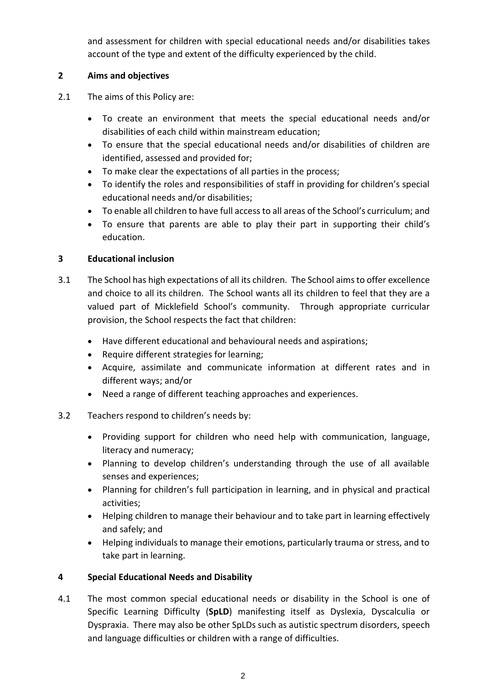and assessment for children with special educational needs and/or disabilities takes account of the type and extent of the difficulty experienced by the child.

### **2 Aims and objectives**

- 2.1 The aims of this Policy are:
	- To create an environment that meets the special educational needs and/or disabilities of each child within mainstream education;
	- To ensure that the special educational needs and/or disabilities of children are identified, assessed and provided for;
	- To make clear the expectations of all parties in the process;
	- To identify the roles and responsibilities of staff in providing for children's special educational needs and/or disabilities;
	- To enable all children to have full access to all areas of the School's curriculum; and
	- To ensure that parents are able to play their part in supporting their child's education.

#### **3 Educational inclusion**

- 3.1 The School has high expectations of all its children. The School aimsto offer excellence and choice to all its children. The School wants all its children to feel that they are a valued part of Micklefield School's community. Through appropriate curricular provision, the School respects the fact that children:
	- Have different educational and behavioural needs and aspirations;
	- Require different strategies for learning;
	- Acquire, assimilate and communicate information at different rates and in different ways; and/or
	- Need a range of different teaching approaches and experiences.
- 3.2 Teachers respond to children's needs by:
	- Providing support for children who need help with communication, language, literacy and numeracy;
	- Planning to develop children's understanding through the use of all available senses and experiences;
	- Planning for children's full participation in learning, and in physical and practical activities;
	- Helping children to manage their behaviour and to take part in learning effectively and safely; and
	- Helping individuals to manage their emotions, particularly trauma or stress, and to take part in learning.

### **4 Special Educational Needs and Disability**

4.1 The most common special educational needs or disability in the School is one of Specific Learning Difficulty (**SpLD**) manifesting itself as Dyslexia, Dyscalculia or Dyspraxia. There may also be other SpLDs such as autistic spectrum disorders, speech and language difficulties or children with a range of difficulties.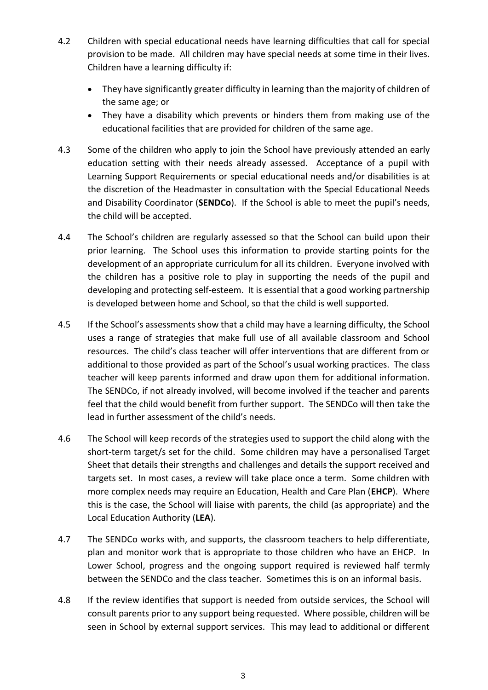- 4.2 Children with special educational needs have learning difficulties that call for special provision to be made. All children may have special needs at some time in their lives. Children have a learning difficulty if:
	- They have significantly greater difficulty in learning than the majority of children of the same age; or
	- They have a disability which prevents or hinders them from making use of the educational facilities that are provided for children of the same age.
- 4.3 Some of the children who apply to join the School have previously attended an early education setting with their needs already assessed. Acceptance of a pupil with Learning Support Requirements or special educational needs and/or disabilities is at the discretion of the Headmaster in consultation with the Special Educational Needs and Disability Coordinator (**SENDCo**). If the School is able to meet the pupil's needs, the child will be accepted.
- 4.4 The School's children are regularly assessed so that the School can build upon their prior learning. The School uses this information to provide starting points for the development of an appropriate curriculum for all its children. Everyone involved with the children has a positive role to play in supporting the needs of the pupil and developing and protecting self-esteem. It is essential that a good working partnership is developed between home and School, so that the child is well supported.
- 4.5 If the School's assessments show that a child may have a learning difficulty, the School uses a range of strategies that make full use of all available classroom and School resources. The child's class teacher will offer interventions that are different from or additional to those provided as part of the School's usual working practices. The class teacher will keep parents informed and draw upon them for additional information. The SENDCo, if not already involved, will become involved if the teacher and parents feel that the child would benefit from further support. The SENDCo will then take the lead in further assessment of the child's needs.
- 4.6 The School will keep records of the strategies used to support the child along with the short-term target/s set for the child. Some children may have a personalised Target Sheet that details their strengths and challenges and details the support received and targets set. In most cases, a review will take place once a term. Some children with more complex needs may require an Education, Health and Care Plan (**EHCP**). Where this is the case, the School will liaise with parents, the child (as appropriate) and the Local Education Authority (**LEA**).
- 4.7 The SENDCo works with, and supports, the classroom teachers to help differentiate, plan and monitor work that is appropriate to those children who have an EHCP. In Lower School, progress and the ongoing support required is reviewed half termly between the SENDCo and the class teacher. Sometimes this is on an informal basis.
- 4.8 If the review identifies that support is needed from outside services, the School will consult parents prior to any support being requested. Where possible, children will be seen in School by external support services. This may lead to additional or different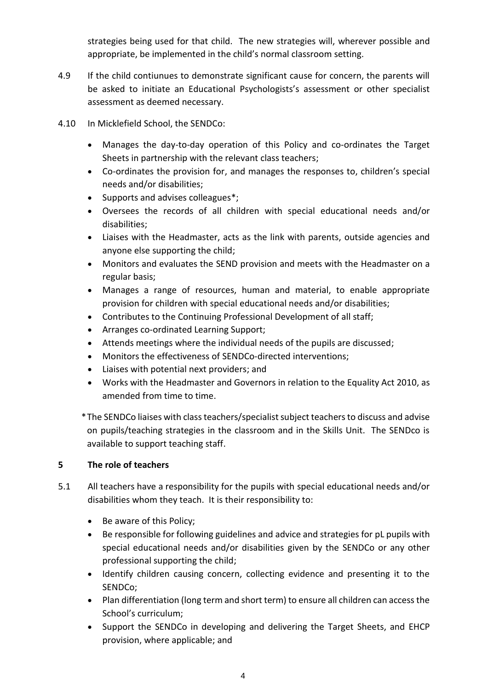strategies being used for that child. The new strategies will, wherever possible and appropriate, be implemented in the child's normal classroom setting.

- 4.9 If the child contiunues to demonstrate significant cause for concern, the parents will be asked to initiate an Educational Psychologists's assessment or other specialist assessment as deemed necessary.
- 4.10 In Micklefield School, the SENDCo:
	- Manages the day-to-day operation of this Policy and co-ordinates the Target Sheets in partnership with the relevant class teachers;
	- Co-ordinates the provision for, and manages the responses to, children's special needs and/or disabilities;
	- Supports and advises colleagues\*;
	- Oversees the records of all children with special educational needs and/or disabilities;
	- Liaises with the Headmaster, acts as the link with parents, outside agencies and anyone else supporting the child;
	- Monitors and evaluates the SEND provision and meets with the Headmaster on a regular basis;
	- Manages a range of resources, human and material, to enable appropriate provision for children with special educational needs and/or disabilities;
	- Contributes to the Continuing Professional Development of all staff;
	- Arranges co-ordinated Learning Support;
	- Attends meetings where the individual needs of the pupils are discussed;
	- Monitors the effectiveness of SENDCo-directed interventions;
	- Liaises with potential next providers; and
	- Works with the Headmaster and Governors in relation to the Equality Act 2010, as amended from time to time.

\*The SENDCo liaises with class teachers/specialist subject teachers to discuss and advise on pupils/teaching strategies in the classroom and in the Skills Unit. The SENDco is available to support teaching staff.

## **5 The role of teachers**

- 5.1 All teachers have a responsibility for the pupils with special educational needs and/or disabilities whom they teach. It is their responsibility to:
	- Be aware of this Policy;
	- Be responsible for following guidelines and advice and strategies for pL pupils with special educational needs and/or disabilities given by the SENDCo or any other professional supporting the child;
	- Identify children causing concern, collecting evidence and presenting it to the SENDCo;
	- Plan differentiation (long term and short term) to ensure all children can access the School's curriculum;
	- Support the SENDCo in developing and delivering the Target Sheets, and EHCP provision, where applicable; and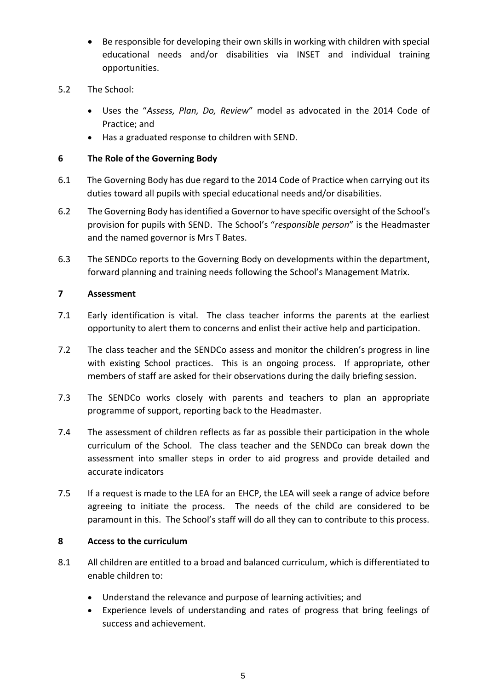- Be responsible for developing their own skills in working with children with special educational needs and/or disabilities via INSET and individual training opportunities.
- 5.2 The School:
	- Uses the "*Assess, Plan, Do, Review*" model as advocated in the 2014 Code of Practice; and
	- Has a graduated response to children with SEND.

### **6 The Role of the Governing Body**

- 6.1 The Governing Body has due regard to the 2014 Code of Practice when carrying out its duties toward all pupils with special educational needs and/or disabilities.
- 6.2 The Governing Body has identified a Governorto have specific oversight of the School's provision for pupils with SEND. The School's "*responsible person*" is the Headmaster and the named governor is Mrs T Bates.
- 6.3 The SENDCo reports to the Governing Body on developments within the department, forward planning and training needs following the School's Management Matrix.

### **7 Assessment**

- 7.1 Early identification is vital. The class teacher informs the parents at the earliest opportunity to alert them to concerns and enlist their active help and participation.
- 7.2 The class teacher and the SENDCo assess and monitor the children's progress in line with existing School practices. This is an ongoing process. If appropriate, other members of staff are asked for their observations during the daily briefing session.
- 7.3 The SENDCo works closely with parents and teachers to plan an appropriate programme of support, reporting back to the Headmaster.
- 7.4 The assessment of children reflects as far as possible their participation in the whole curriculum of the School. The class teacher and the SENDCo can break down the assessment into smaller steps in order to aid progress and provide detailed and accurate indicators
- 7.5 If a request is made to the LEA for an EHCP, the LEA will seek a range of advice before agreeing to initiate the process. The needs of the child are considered to be paramount in this. The School's staff will do all they can to contribute to this process.

### **8 Access to the curriculum**

- 8.1 All children are entitled to a broad and balanced curriculum, which is differentiated to enable children to:
	- Understand the relevance and purpose of learning activities; and
	- Experience levels of understanding and rates of progress that bring feelings of success and achievement.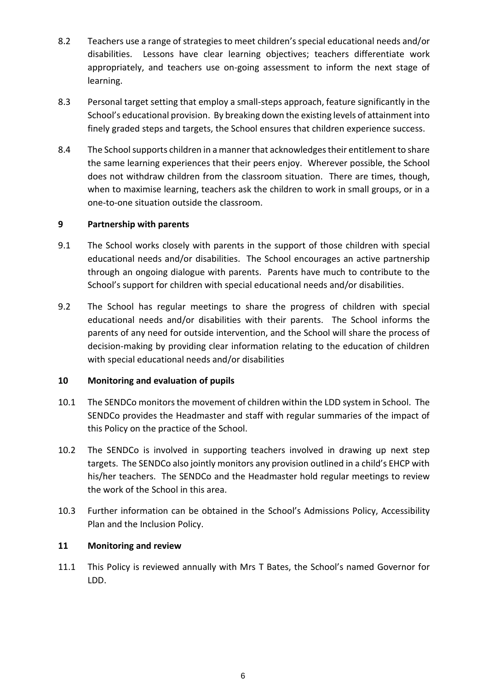- 8.2 Teachers use a range of strategies to meet children's special educational needs and/or disabilities. Lessons have clear learning objectives; teachers differentiate work appropriately, and teachers use on-going assessment to inform the next stage of learning.
- 8.3 Personal target setting that employ a small-steps approach, feature significantly in the School's educational provision. By breaking down the existing levels of attainment into finely graded steps and targets, the School ensures that children experience success.
- 8.4 The School supports children in a manner that acknowledges their entitlement to share the same learning experiences that their peers enjoy. Wherever possible, the School does not withdraw children from the classroom situation. There are times, though, when to maximise learning, teachers ask the children to work in small groups, or in a one-to-one situation outside the classroom.

### **9 Partnership with parents**

- 9.1 The School works closely with parents in the support of those children with special educational needs and/or disabilities. The School encourages an active partnership through an ongoing dialogue with parents. Parents have much to contribute to the School's support for children with special educational needs and/or disabilities.
- 9.2 The School has regular meetings to share the progress of children with special educational needs and/or disabilities with their parents. The School informs the parents of any need for outside intervention, and the School will share the process of decision-making by providing clear information relating to the education of children with special educational needs and/or disabilities

### **10 Monitoring and evaluation of pupils**

- 10.1 The SENDCo monitors the movement of children within the LDD system in School. The SENDCo provides the Headmaster and staff with regular summaries of the impact of this Policy on the practice of the School.
- 10.2 The SENDCo is involved in supporting teachers involved in drawing up next step targets. The SENDCo also jointly monitors any provision outlined in a child's EHCP with his/her teachers. The SENDCo and the Headmaster hold regular meetings to review the work of the School in this area.
- 10.3 Further information can be obtained in the School's Admissions Policy, Accessibility Plan and the Inclusion Policy.

### **11 Monitoring and review**

11.1 This Policy is reviewed annually with Mrs T Bates, the School's named Governor for LDD.